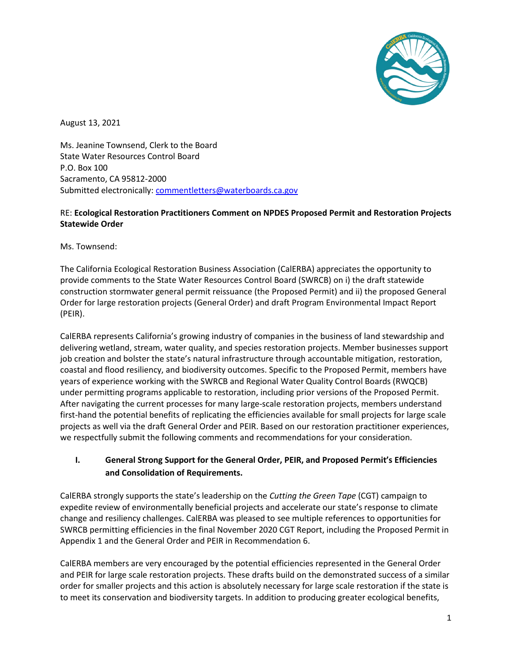

August 13, 2021

Ms. Jeanine Townsend, Clerk to the Board State Water Resources Control Board P.O. Box 100 Sacramento, CA 95812-2000 Submitted electronically: [commentletters@waterboards.ca.gov](mailto:commentletters@waterboards.ca.gov)

#### RE: **Ecological Restoration Practitioners Comment on NPDES Proposed Permit and Restoration Projects Statewide Order**

Ms. Townsend:

The California Ecological Restoration Business Association (CalERBA) appreciates the opportunity to provide comments to the State Water Resources Control Board (SWRCB) on i) the draft statewide construction stormwater general permit reissuance (the Proposed Permit) and ii) the proposed General Order for large restoration projects (General Order) and draft Program Environmental Impact Report (PEIR).

CalERBA represents California's growing industry of companies in the business of land stewardship and delivering wetland, stream, water quality, and species restoration projects. Member businesses support job creation and bolster the state's natural infrastructure through accountable mitigation, restoration, coastal and flood resiliency, and biodiversity outcomes. Specific to the Proposed Permit, members have years of experience working with the SWRCB and Regional Water Quality Control Boards (RWQCB) under permitting programs applicable to restoration, including prior versions of the Proposed Permit. After navigating the current processes for many large-scale restoration projects, members understand first-hand the potential benefits of replicating the efficiencies available for small projects for large scale projects as well via the draft General Order and PEIR. Based on our restoration practitioner experiences, we respectfully submit the following comments and recommendations for your consideration.

# **I. General Strong Support for the General Order, PEIR, and Proposed Permit's Efficiencies and Consolidation of Requirements.**

CalERBA strongly supports the state's leadership on the *Cutting the Green Tape* (CGT) campaign to expedite review of environmentally beneficial projects and accelerate our state's response to climate change and resiliency challenges. CalERBA was pleased to see multiple references to opportunities for SWRCB permitting efficiencies in the final November 2020 CGT Report, including the Proposed Permit in Appendix 1 and the General Order and PEIR in Recommendation 6.

CalERBA members are very encouraged by the potential efficiencies represented in the General Order and PEIR for large scale restoration projects. These drafts build on the demonstrated success of a similar order for smaller projects and this action is absolutely necessary for large scale restoration if the state is to meet its conservation and biodiversity targets. In addition to producing greater ecological benefits,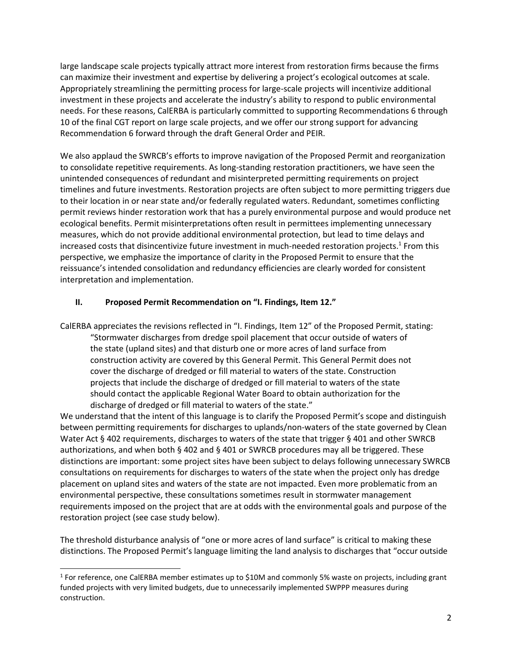large landscape scale projects typically attract more interest from restoration firms because the firms can maximize their investment and expertise by delivering a project's ecological outcomes at scale. Appropriately streamlining the permitting process for large-scale projects will incentivize additional investment in these projects and accelerate the industry's ability to respond to public environmental needs. For these reasons, CalERBA is particularly committed to supporting Recommendations 6 through 10 of the final CGT report on large scale projects, and we offer our strong support for advancing Recommendation 6 forward through the draft General Order and PEIR.

We also applaud the SWRCB's efforts to improve navigation of the Proposed Permit and reorganization to consolidate repetitive requirements. As long-standing restoration practitioners, we have seen the unintended consequences of redundant and misinterpreted permitting requirements on project timelines and future investments. Restoration projects are often subject to more permitting triggers due to their location in or near state and/or federally regulated waters. Redundant, sometimes conflicting permit reviews hinder restoration work that has a purely environmental purpose and would produce net ecological benefits. Permit misinterpretations often result in permittees implementing unnecessary measures, which do not provide additional environmental protection, but lead to time delays and increased costs that disincentivize future investment in much-needed restoration projects.<sup>1</sup> From this perspective, we emphasize the importance of clarity in the Proposed Permit to ensure that the reissuance's intended consolidation and redundancy efficiencies are clearly worded for consistent interpretation and implementation.

#### **II. Proposed Permit Recommendation on "I. Findings, Item 12."**

CalERBA appreciates the revisions reflected in "I. Findings, Item 12" of the Proposed Permit, stating: "Stormwater discharges from dredge spoil placement that occur outside of waters of the state (upland sites) and that disturb one or more acres of land surface from construction activity are covered by this General Permit. This General Permit does not cover the discharge of dredged or fill material to waters of the state. Construction projects that include the discharge of dredged or fill material to waters of the state should contact the applicable Regional Water Board to obtain authorization for the discharge of dredged or fill material to waters of the state."

We understand that the intent of this language is to clarify the Proposed Permit's scope and distinguish between permitting requirements for discharges to uplands/non-waters of the state governed by Clean Water Act § 402 requirements, discharges to waters of the state that trigger § 401 and other SWRCB authorizations, and when both § 402 and § 401 or SWRCB procedures may all be triggered. These distinctions are important: some project sites have been subject to delays following unnecessary SWRCB consultations on requirements for discharges to waters of the state when the project only has dredge placement on upland sites and waters of the state are not impacted. Even more problematic from an environmental perspective, these consultations sometimes result in stormwater management requirements imposed on the project that are at odds with the environmental goals and purpose of the restoration project (see case study below).

The threshold disturbance analysis of "one or more acres of land surface" is critical to making these distinctions. The Proposed Permit's language limiting the land analysis to discharges that "occur outside

l

<sup>1</sup> For reference, one CalERBA member estimates up to \$10M and commonly 5% waste on projects, including grant funded projects with very limited budgets, due to unnecessarily implemented SWPPP measures during construction.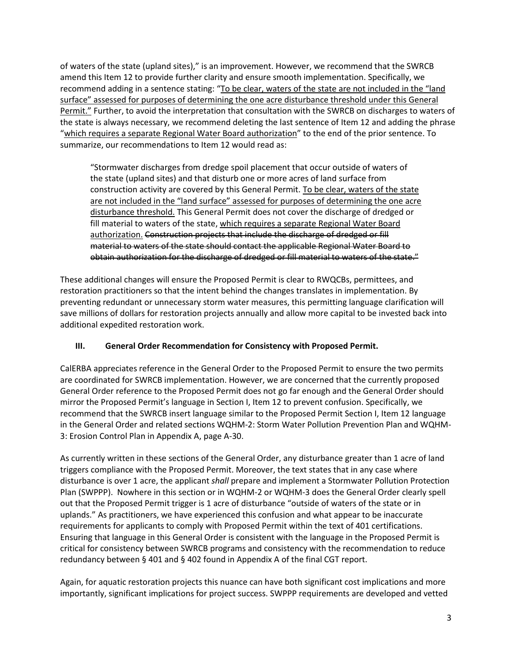of waters of the state (upland sites)," is an improvement. However, we recommend that the SWRCB amend this Item 12 to provide further clarity and ensure smooth implementation. Specifically, we recommend adding in a sentence stating: "To be clear, waters of the state are not included in the "land surface" assessed for purposes of determining the one acre disturbance threshold under this General Permit." Further, to avoid the interpretation that consultation with the SWRCB on discharges to waters of the state is always necessary, we recommend deleting the last sentence of Item 12 and adding the phrase "which requires a separate Regional Water Board authorization" to the end of the prior sentence. To summarize, our recommendations to Item 12 would read as:

"Stormwater discharges from dredge spoil placement that occur outside of waters of the state (upland sites) and that disturb one or more acres of land surface from construction activity are covered by this General Permit. To be clear, waters of the state are not included in the "land surface" assessed for purposes of determining the one acre disturbance threshold. This General Permit does not cover the discharge of dredged or fill material to waters of the state, which requires a separate Regional Water Board authorization. Construction projects that include the discharge of dredged or fill material to waters of the state should contact the applicable Regional Water Board to obtain authorization for the discharge of dredged or fill material to waters of the state."

These additional changes will ensure the Proposed Permit is clear to RWQCBs, permittees, and restoration practitioners so that the intent behind the changes translates in implementation. By preventing redundant or unnecessary storm water measures, this permitting language clarification will save millions of dollars for restoration projects annually and allow more capital to be invested back into additional expedited restoration work.

## **III. General Order Recommendation for Consistency with Proposed Permit.**

CalERBA appreciates reference in the General Order to the Proposed Permit to ensure the two permits are coordinated for SWRCB implementation. However, we are concerned that the currently proposed General Order reference to the Proposed Permit does not go far enough and the General Order should mirror the Proposed Permit's language in Section I, Item 12 to prevent confusion. Specifically, we recommend that the SWRCB insert language similar to the Proposed Permit Section I, Item 12 language in the General Order and related sections WQHM-2: Storm Water Pollution Prevention Plan and WQHM-3: Erosion Control Plan in Appendix A, page A-30.

As currently written in these sections of the General Order, any disturbance greater than 1 acre of land triggers compliance with the Proposed Permit. Moreover, the text states that in any case where disturbance is over 1 acre, the applicant *shall* prepare and implement a Stormwater Pollution Protection Plan (SWPPP). Nowhere in this section or in WQHM-2 or WQHM-3 does the General Order clearly spell out that the Proposed Permit trigger is 1 acre of disturbance "outside of waters of the state or in uplands." As practitioners, we have experienced this confusion and what appear to be inaccurate requirements for applicants to comply with Proposed Permit within the text of 401 certifications. Ensuring that language in this General Order is consistent with the language in the Proposed Permit is critical for consistency between SWRCB programs and consistency with the recommendation to reduce redundancy between § 401 and § 402 found in Appendix A of the final CGT report.

Again, for aquatic restoration projects this nuance can have both significant cost implications and more importantly, significant implications for project success. SWPPP requirements are developed and vetted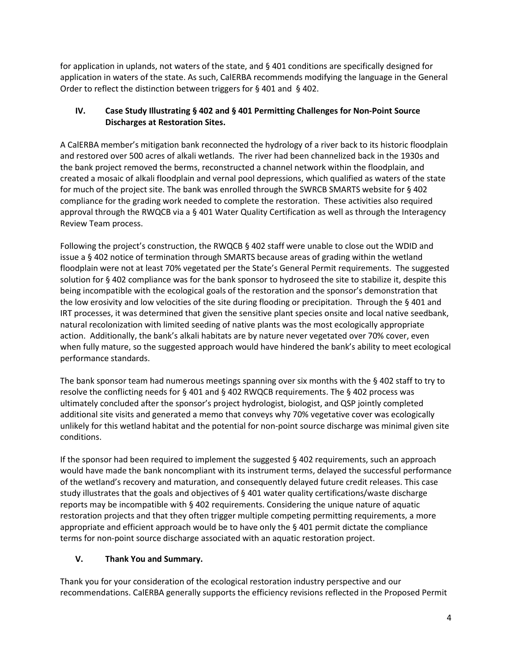for application in uplands, not waters of the state, and § 401 conditions are specifically designed for application in waters of the state. As such, CalERBA recommends modifying the language in the General Order to reflect the distinction between triggers for § 401 and § 402.

# **IV. Case Study Illustrating § 402 and § 401 Permitting Challenges for Non-Point Source Discharges at Restoration Sites.**

A CalERBA member's mitigation bank reconnected the hydrology of a river back to its historic floodplain and restored over 500 acres of alkali wetlands. The river had been channelized back in the 1930s and the bank project removed the berms, reconstructed a channel network within the floodplain, and created a mosaic of alkali floodplain and vernal pool depressions, which qualified as waters of the state for much of the project site. The bank was enrolled through the SWRCB SMARTS website for § 402 compliance for the grading work needed to complete the restoration. These activities also required approval through the RWQCB via a § 401 Water Quality Certification as well as through the Interagency Review Team process.

Following the project's construction, the RWQCB § 402 staff were unable to close out the WDID and issue a § 402 notice of termination through SMARTS because areas of grading within the wetland floodplain were not at least 70% vegetated per the State's General Permit requirements. The suggested solution for § 402 compliance was for the bank sponsor to hydroseed the site to stabilize it, despite this being incompatible with the ecological goals of the restoration and the sponsor's demonstration that the low erosivity and low velocities of the site during flooding or precipitation. Through the § 401 and IRT processes, it was determined that given the sensitive plant species onsite and local native seedbank, natural recolonization with limited seeding of native plants was the most ecologically appropriate action. Additionally, the bank's alkali habitats are by nature never vegetated over 70% cover, even when fully mature, so the suggested approach would have hindered the bank's ability to meet ecological performance standards.

The bank sponsor team had numerous meetings spanning over six months with the  $\S$  402 staff to try to resolve the conflicting needs for § 401 and § 402 RWQCB requirements. The § 402 process was ultimately concluded after the sponsor's project hydrologist, biologist, and QSP jointly completed additional site visits and generated a memo that conveys why 70% vegetative cover was ecologically unlikely for this wetland habitat and the potential for non-point source discharge was minimal given site conditions.

If the sponsor had been required to implement the suggested  $\S$  402 requirements, such an approach would have made the bank noncompliant with its instrument terms, delayed the successful performance of the wetland's recovery and maturation, and consequently delayed future credit releases. This case study illustrates that the goals and objectives of § 401 water quality certifications/waste discharge reports may be incompatible with § 402 requirements. Considering the unique nature of aquatic restoration projects and that they often trigger multiple competing permitting requirements, a more appropriate and efficient approach would be to have only the § 401 permit dictate the compliance terms for non-point source discharge associated with an aquatic restoration project.

## **V. Thank You and Summary.**

Thank you for your consideration of the ecological restoration industry perspective and our recommendations. CalERBA generally supports the efficiency revisions reflected in the Proposed Permit